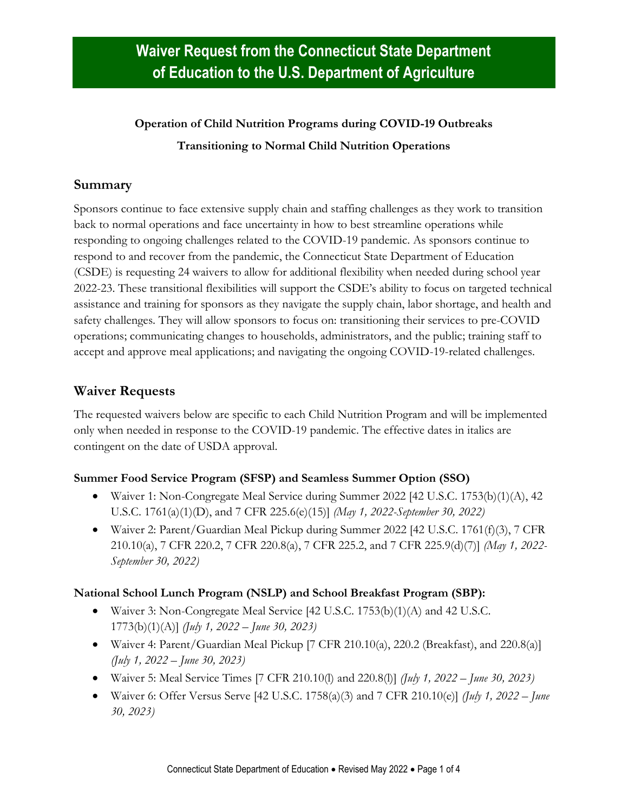## **Operation of Child Nutrition Programs during COVID-19 Outbreaks Transitioning to Normal Child Nutrition Operations**

### **Summary**

Sponsors continue to face extensive supply chain and staffing challenges as they work to transition back to normal operations and face uncertainty in how to best streamline operations while responding to ongoing challenges related to the COVID-19 pandemic. As sponsors continue to respond to and recover from the pandemic, the Connecticut State Department of Education (CSDE) is requesting 24 waivers to allow for additional flexibility when needed during school year 2022-23. These transitional flexibilities will support the CSDE's ability to focus on targeted technical assistance and training for sponsors as they navigate the supply chain, labor shortage, and health and safety challenges. They will allow sponsors to focus on: transitioning their services to pre-COVID operations; communicating changes to households, administrators, and the public; training staff to accept and approve meal applications; and navigating the ongoing COVID-19-related challenges.

### **Waiver Requests**

The requested waivers below are specific to each Child Nutrition Program and will be implemented only when needed in response to the COVID-19 pandemic. The effective dates in italics are contingent on the date of USDA approval.

#### **Summer Food Service Program (SFSP) and Seamless Summer Option (SSO)**

- Waiver 1: Non-Congregate Meal Service during Summer 2022 [42 U.S.C. 1753(b)(1)(A), 42 U.S.C. 1761(a)(1)(D), and 7 CFR 225.6(e)(15)] *(May 1, 2022-September 30, 2022)*
- Waiver 2: Parent/Guardian Meal Pickup during Summer 2022 [42 U.S.C. 1761(f)(3), 7 CFR 210.10(a), 7 CFR 220.2, 7 CFR 220.8(a), 7 CFR 225.2, and 7 CFR 225.9(d)(7)] *(May 1, 2022- September 30, 2022)*

#### **National School Lunch Program (NSLP) and School Breakfast Program (SBP):**

- Waiver 3: Non-Congregate Meal Service [42 U.S.C. 1753(b)(1)(A) and 42 U.S.C. 1773(b)(1)(A)] *(July 1, 2022 – June 30, 2023)*
- Waiver 4: Parent/Guardian Meal Pickup [7 CFR 210.10(a), 220.2 (Breakfast), and 220.8(a)] *(July 1, 2022 – June 30, 2023)*
- Waiver 5: Meal Service Times [7 CFR 210.10(l) and 220.8(l)] *(July 1, 2022 – June 30, 2023)*
- Waiver 6: Offer Versus Serve [42 U.S.C. 1758(a)(3) and 7 CFR 210.10(e)] *(July 1, 2022 – June 30, 2023)*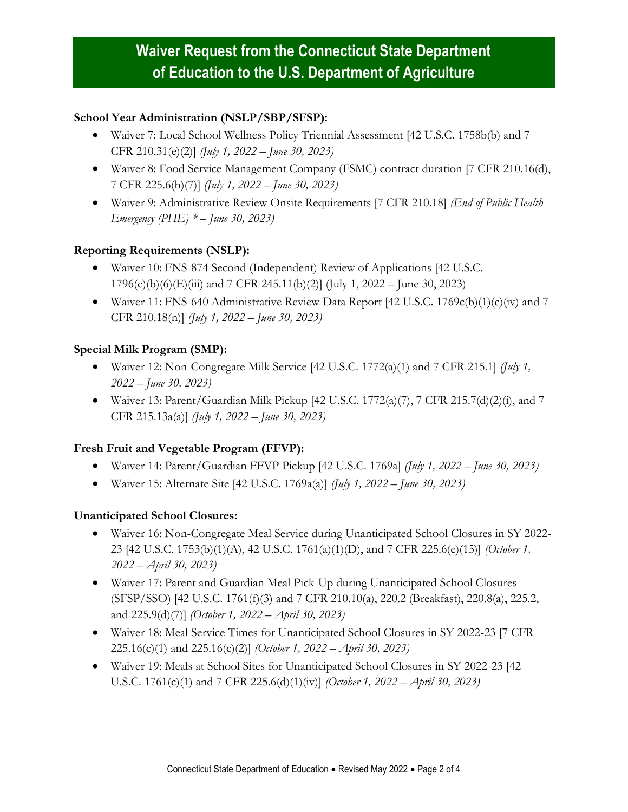# **Waiver Request from the Connecticut State Department of Education to the U.S. Department of Agriculture**

#### **School Year Administration (NSLP/SBP/SFSP):**

- Waiver 7: Local School Wellness Policy Triennial Assessment [42 U.S.C. 1758b(b) and 7 CFR 210.31(e)(2)] *(July 1, 2022 – June 30, 2023)*
- Waiver 8: Food Service Management Company (FSMC) contract duration [7 CFR 210.16(d), 7 CFR 225.6(h)(7)] *(July 1, 2022 – June 30, 2023)*
- Waiver 9: Administrative Review Onsite Requirements [7 CFR 210.18] *(End of Public Health Emergency (PHE) \* – June 30, 2023)*

#### **Reporting Requirements (NSLP):**

- Waiver 10: FNS-874 Second (Independent) Review of Applications [42 U.S.C.  $1796(c)(b)(6)(E)(iii)$  and 7 CFR 245.11(b)(2)] (July 1, 2022 – June 30, 2023)
- Waiver 11: FNS-640 Administrative Review Data Report [42 U.S.C. 1769c(b)(1)(c)(iv) and 7 CFR 210.18(n)] *(July 1, 2022 – June 30, 2023)*

#### **Special Milk Program (SMP):**

- Waiver 12: Non-Congregate Milk Service [42 U.S.C. 1772(a)(1) and 7 CFR 215.1] *(July 1, 2022 – June 30, 2023)*
- Waiver 13: Parent/Guardian Milk Pickup [42 U.S.C. 1772(a)(7), 7 CFR 215.7(d)(2)(i), and 7 CFR 215.13a(a)] *(July 1, 2022 – June 30, 2023)*

#### **Fresh Fruit and Vegetable Program (FFVP):**

- Waiver 14: Parent/Guardian FFVP Pickup [42 U.S.C. 1769a] *(July 1, 2022 – June 30, 2023)*
- Waiver 15: Alternate Site [42 U.S.C. 1769a(a)] *(July 1, 2022 – June 30, 2023)*

#### **Unanticipated School Closures:**

- Waiver 16: Non-Congregate Meal Service during Unanticipated School Closures in SY 2022- 23 [42 U.S.C. 1753(b)(1)(A), 42 U.S.C. 1761(a)(1)(D), and 7 CFR 225.6(e)(15)] *(October 1, 2022 – April 30, 2023)*
- Waiver 17: Parent and Guardian Meal Pick-Up during Unanticipated School Closures (SFSP/SSO) [42 U.S.C. 1761(f)(3) and 7 CFR 210.10(a), 220.2 (Breakfast), 220.8(a), 225.2, and 225.9(d)(7)] *(October 1, 2022 – April 30, 2023)*
- Waiver 18: Meal Service Times for Unanticipated School Closures in SY 2022-23 [7 CFR 225.16(c)(1) and 225.16(c)(2)] *(October 1, 2022 – April 30, 2023)*
- Waiver 19: Meals at School Sites for Unanticipated School Closures in SY 2022-23 [42 U.S.C. 1761(c)(1) and 7 CFR 225.6(d)(1)(iv)] *(October 1, 2022 – April 30, 2023)*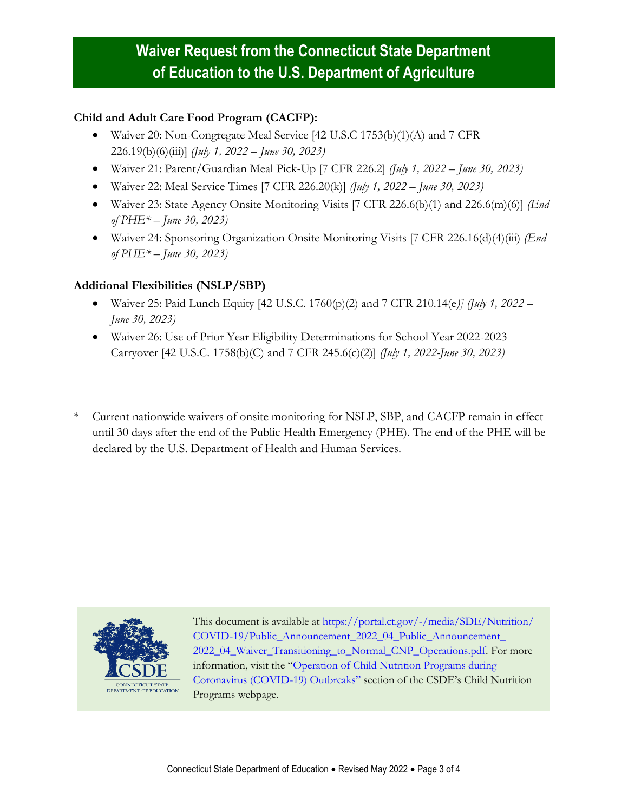## **Waiver Request from the Connecticut State Department of Education to the U.S. Department of Agriculture**

#### **Child and Adult Care Food Program (CACFP):**

- Waiver 20: Non-Congregate Meal Service [42 U.S.C 1753(b)(1)(A) and 7 CFR 226.19(b)(6)(iii)] *(July 1, 2022 – June 30, 2023)*
- Waiver 21: Parent/Guardian Meal Pick-Up [7 CFR 226.2] *(July 1, 2022 – June 30, 2023)*
- Waiver 22: Meal Service Times [7 CFR 226.20(k)] *(July 1, 2022 – June 30, 2023)*
- Waiver 23: State Agency Onsite Monitoring Visits [7 CFR 226.6(b)(1) and 226.6(m)(6)] *(End of PHE\* – June 30, 2023)*
- Waiver 24: Sponsoring Organization Onsite Monitoring Visits [7 CFR 226.16(d)(4)(iii) *(End of PHE\* – June 30, 2023)*

#### **Additional Flexibilities (NSLP/SBP)**

- Waiver 25: Paid Lunch Equity [42 U.S.C. 1760(p)(2) and 7 CFR 210.14(e*)] (July 1, 2022 – June 30, 2023)*
- Waiver 26: Use of Prior Year Eligibility Determinations for School Year 2022-2023 Carryover [42 U.S.C. 1758(b)(C) and 7 CFR 245.6(c)(2)] *(July 1, 2022-June 30, 2023)*
- \* Current nationwide waivers of onsite monitoring for NSLP, SBP, and CACFP remain in effect until 30 days after the end of the Public Health Emergency (PHE). The end of the PHE will be declared by the U.S. Department of Health and Human Services.



This document is available at [https://portal.ct.gov/-/media/SDE/Nutrition/](https://portal.ct.gov/-/media/SDE/‌Nutrition/COVID-19/Public_Announcement_2022_04_Public_Announcement_2022_04_Waiver_Transitioning_to_Normal_CNP_Operations.pdf) [COVID-19/Public\\_Announcement\\_2022\\_04\\_Public\\_Announcement\\_](https://portal.ct.gov/-/media/SDE/‌Nutrition/COVID-19/Public_Announcement_2022_04_Public_Announcement_2022_04_Waiver_Transitioning_to_Normal_CNP_Operations.pdf) [2022\\_04\\_Waiver\\_Transitioning\\_to\\_Normal\\_CNP\\_Operations.pdf.](https://portal.ct.gov/-/media/SDE/‌Nutrition/COVID-19/Public_Announcement_2022_04_Public_Announcement_2022_04_Waiver_Transitioning_to_Normal_CNP_Operations.pdf) For more information, visit the "[Operation of Child Nutrition Programs during](https://portal.ct.gov/SDE/Nutrition/Child-Nutrition-Programs#coronavirus)  [Coronavirus \(COVID-19\) Outbreaks](https://portal.ct.gov/SDE/Nutrition/Child-Nutrition-Programs#coronavirus)" section of the CSDE's Child Nutrition Programs webpage.